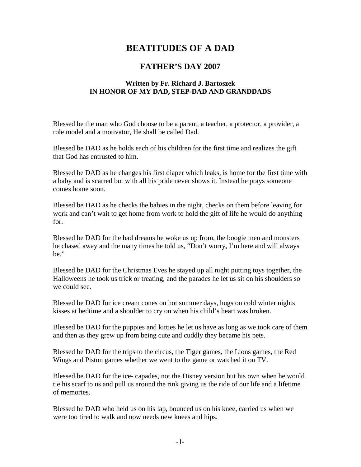## **BEATITUDES OF A DAD**

## **FATHER'S DAY 2007**

## **Written by Fr. Richard J. Bartoszek IN HONOR OF MY DAD, STEP-DAD AND GRANDDADS**

Blessed be the man who God choose to be a parent, a teacher, a protector, a provider, a role model and a motivator, He shall be called Dad.

Blessed be DAD as he holds each of his children for the first time and realizes the gift that God has entrusted to him.

Blessed be DAD as he changes his first diaper which leaks, is home for the first time with a baby and is scarred but with all his pride never shows it. Instead he prays someone comes home soon.

Blessed be DAD as he checks the babies in the night, checks on them before leaving for work and can't wait to get home from work to hold the gift of life he would do anything for.

Blessed be DAD for the bad dreams he woke us up from, the boogie men and monsters he chased away and the many times he told us, "Don't worry, I'm here and will always be."

Blessed be DAD for the Christmas Eves he stayed up all night putting toys together, the Halloweens he took us trick or treating, and the parades he let us sit on his shoulders so we could see.

Blessed be DAD for ice cream cones on hot summer days, hugs on cold winter nights kisses at bedtime and a shoulder to cry on when his child's heart was broken.

Blessed be DAD for the puppies and kitties he let us have as long as we took care of them and then as they grew up from being cute and cuddly they became his pets.

Blessed be DAD for the trips to the circus, the Tiger games, the Lions games, the Red Wings and Piston games whether we went to the game or watched it on TV.

Blessed be DAD for the ice- capades, not the Disney version but his own when he would tie his scarf to us and pull us around the rink giving us the ride of our life and a lifetime of memories.

Blessed be DAD who held us on his lap, bounced us on his knee, carried us when we were too tired to walk and now needs new knees and hips.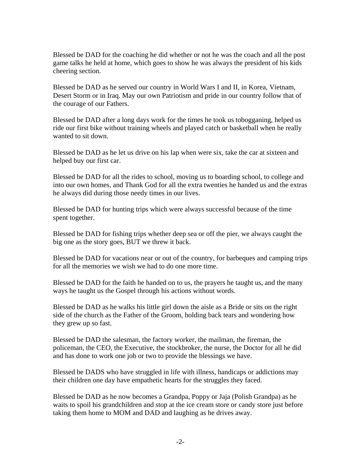Blessed be DAD for the coaching he did whether or not he was the coach and all the post game talks he held at home, which goes to show he was always the president of his kids cheering section.

Blessed be DAD as he served our country in World Wars I and II, in Korea, Vietnam, Desert Storm or in Iraq. May our own Patriotism and pride in our country follow that of the courage of our Fathers.

Blessed be DAD after a long days work for the times he took us tobogganing, helped us ride our first bike without training wheels and played catch or basketball when he really wanted to sit down.

Blessed be DAD as he let us drive on his lap when were six, take the car at sixteen and helped buy our first car.

Blessed be DAD for all the rides to school, moving us to boarding school, to college and into our own homes, and Thank God for all the extra twenties he handed us and the extras he always did during those needy times in our lives.

Blessed be DAD for hunting trips which were always successful because of the time spent together.

Blessed be DAD for fishing trips whether deep sea or off the pier, we always caught the big one as the story goes, BUT we threw it back.

Blessed be DAD for vacations near or out of the country, for barbeques and camping trips for all the memories we wish we had to do one more time.

Blessed be DAD for the faith he handed on to us, the prayers he taught us, and the many ways he taught us the Gospel through his actions without words.

Blessed be DAD as he walks his little girl down the aisle as a Bride or sits on the right side of the church as the Father of the Groom, holding back tears and wondering how they grew up so fast.

Blessed be DAD the salesman, the factory worker, the mailman, the fireman, the policeman, the CEO, the Executive, the stockbroker, the nurse, the Doctor for all he did and has done to work one job or two to provide the blessings we have.

Blessed be DADS who have struggled in life with illness, handicaps or addictions may their children one day have empathetic hearts for the struggles they faced.

Blessed be DAD as he now becomes a Grandpa, Poppy or Jaja (Polish Grandpa) as he waits to spoil his grandchildren and stop at the ice cream store or candy store just before taking them home to MOM and DAD and laughing as he drives away.